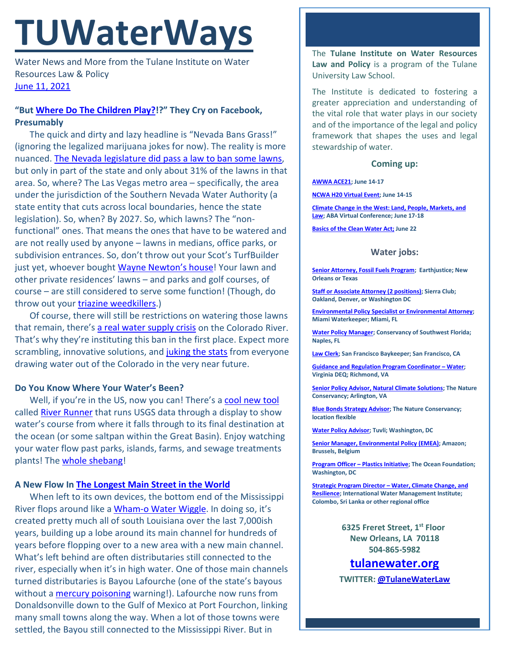# **TUWaterWays**

Water News and More from the Tulane Institute on Water Resources Law & Policy [June 11, 2021](https://thisdayinwaterhistory.wordpress.com/)

## **"But [Where Do The Children Play?!](https://www.youtube.com/watch?v=nBCJhNiKhFE)?" They Cry on Facebook, Presumably**

The quick and dirty and lazy headline is "Nevada Bans Grass!" (ignoring the legalized marijuana jokes for now). The reality is more nuanced. [The Nevada legislature did pass a law to ban some lawns,](https://apnews.com/article/nevada-droughts-government-and-politics-environment-and-nature-3bc619e46f902b2ebb77245fcf54e22a) but only in part of the state and only about 31% of the lawns in that area. So, where? The Las Vegas metro area – specifically, the area under the jurisdiction of the Southern Nevada Water Authority (a state entity that cuts across local boundaries, hence the state legislation). So, when? By 2027. So, which lawns? The "nonfunctional" ones. That means the ones that have to be watered and are not really used by anyone – lawns in medians, office parks, or subdivision entrances. So, don't throw out your Scot's TurfBuilder just yet, whoever bought [Wayne Newton's house!](https://macdonaldhighlands.com/glamour-luxury-five-iconic-homes-las-vegas/) Your lawn and other private residences' lawns – and parks and golf courses, of course – are still considered to serve some function! (Though, do throw out your **triazine weedkillers**.)

Of course, there will still be restrictions on watering those lawns that remain, there's [a real water supply crisis](https://www.circleofblue.org/2021/world/amid-dire-colorado-river-outlook-states-plan-to-tap-their-lake-mead-savings-accounts/) on the Colorado River. That's why they're instituting this ban in the first place. Expect more scrambling, innovative solutions, and [juking the stats](https://www.youtube.com/watch?v=_ogxZxu6cjM) from everyone drawing water out of the Colorado in the very near future.

### **Do You Know Where Your Water's Been?**

Well, if you're in the US, now you can! There's a [cool new tool](https://www.mercurynews.com/2021/06/08/water-amazing-new-map-shows-the-path-of-every-raindrop-that-hits-the-united-states/) called [River Runner](https://river-runner.samlearner.com/) that runs USGS data through a display to show water's course from where it falls through to its final destination at the ocean (or some saltpan within the Great Basin). Enjoy watching your water flow past parks, islands, farms, and sewage treatments plants! The [whole shebang!](https://www.phrases.org.uk/meanings/the-whole-shebang.html)

### **A New Flow In [The Longest Main Street in the World](https://www.houmatoday.com/article/DA/20100215/News/608076162/HC)**

When left to its own devices, the bottom end of the Mississippi River flops around like a [Wham-o Water Wiggle.](https://www.youtube.com/watch?v=DbrvuYaj4Gc) In doing so, it's created pretty much all of south Louisiana over the last 7,000ish years, building up a lobe around its main channel for hundreds of years before flopping over to a new area with a new main channel. What's left behind are often distributaries still connected to the river, especially when it's in high water. One of those main channels turned distributaries is Bayou Lafourche (one of the state's bayous without a [mercury poisoning](https://www.nola.com/news/environment/article_12fca09c-bd6d-11eb-abd2-33167fd8709f.html) warning!). Lafourche now runs from Donaldsonville down to the Gulf of Mexico at Port Fourchon, linking many small towns along the way. When a lot of those towns were settled, the Bayou still connected to the Mississippi River. But in

The **Tulane Institute on Water Resources Law and Policy** is a program of the Tulane University Law School.

The Institute is dedicated to fostering a greater appreciation and understanding of the vital role that water plays in our society and of the importance of the legal and policy framework that shapes the uses and legal stewardship of water.

#### **Coming up:**

#### **[AWWA ACE21;](https://www.awwa.org/ace) June 14-17**

**[NCWA H20 Virtual Event;](https://www.nacwa.org/conferences-events/event-at-a-glance/2021/06/14/nacwa-events/strategic-communications-h2o-workshop) June 14-15**

**[Climate Change in the West: Land, People, Markets, and](https://web.cvent.com/event/b06b5082-fbd8-40fa-b1d1-48d38f20ed7d/summary)  [Law;](https://web.cvent.com/event/b06b5082-fbd8-40fa-b1d1-48d38f20ed7d/summary) ABA Virtual Conference; June 17-18**

**[Basics of the Clean Water Act;](https://www.eli.org/events/basics-clean-water-act-eli-summer-school-2021) June 22**

#### **Water jobs:**

**[Senior Attorney, Fossil Fuels Program;](https://earthjustice.org/about/jobs/40606/senior-attorney-fossil-fuels-program) Earthjustice; New Orleans or Texas**

**[Staff or Associate Attorney \(2 positions\);](https://phf.tbe.taleo.net/phf01/ats/careers/v2/viewRequisition?org=SIERRACLUB&cws=39&rid=1738) Sierra Club; Oakland, Denver, or Washington DC**

**[Environmental Policy Specialist or Environmental Attorney;](https://www.miamiwaterkeeper.org/environmental_policy_specialist) Miami Waterkeeper; Miami, FL**

**[Water Policy Manager;](https://conservancy.topdoghrrecruiting.com/job/272081/water-policy-manager) Conservancy of Southwest Florida; Naples, FL**

**[Law Clerk;](https://baykeeper.org/about-baykeeper/jobs-and-internships#clerk) San Francisco Baykeeper; San Francisco, CA**

**[Guidance and Regulation Program Coordinator –](https://virginiajobs.peopleadmin.com/postings/228129) Water; Virginia DEQ; Richmond, VA**

**[Senior Policy Advisor, Natural Climate Solutions;](https://careers.nature.org/psc/tnccareers/APPLICANT/APPL/c/HRS_HRAM_FL.HRS_CG_SEARCH_FL.GBL?Page=HRS_APP_JBPST_FL&Action=U&FOCUS=Applicant&SiteId=1&JobOpeningId=49844&PostingSeq=1&PortalActualURL=https%3a%2f%2fcareers.nature.org%2fpsc%2ftnccareers%2fAPPLICANT%2fAPPL%2fc%2fHRS_HRAM_FL.HRS_CG_SEARCH_FL.GBL%3fPage%3dHRS_APP_JBPST_FL%26Action%3dU%26FOCUS%3dApplicant%26SiteId%3d1%26JobOpeningId%3d49844%26PostingSeq%3d1&PortalRegistryName=APPLICANT&PortalServletURI=https%3a%2f%2fcareers.nature.org%2fpsp%2ftnccareers%2f&PortalURI=https%3a%2f%2fcareers.nature.org%2fpsc%2ftnccareers%2f&PortalHostNode=APPL&NoCrumbs=yes&PortalKeyStruct=yes) The Nature Conservancy; Arlington, VA**

**[Blue Bonds Strategy Advisor;](https://careers.nature.org/psc/tnccareers/APPLICANT/APPL/c/HRS_HRAM_FL.HRS_CG_SEARCH_FL.GBL?Page=HRS_APP_JBPST_FL&Action=U&FOCUS=Applicant&SiteId=1&JobOpeningId=49869&PostingSeq=1&PortalActualURL=https%3a%2f%2fcareers.nature.org%2fpsc%2ftnccareers%2fAPPLICANT%2fAPPL%2fc%2fHRS_HRAM_FL.HRS_CG_SEARCH_FL.GBL%3fPage%3dHRS_APP_JBPST_FL%26Action%3dU%26FOCUS%3dApplicant%26SiteId%3d1%26JobOpeningId%3d49869%26PostingSeq%3d1&PortalRegistryName=APPLICANT&PortalServletURI=https%3a%2f%2fcareers.nature.org%2fpsp%2ftnccareers%2f&PortalURI=https%3a%2f%2fcareers.nature.org%2fpsc%2ftnccareers%2f&PortalHostNode=APPL&NoCrumbs=yes&PortalKeyStruct=yes) The Nature Conservancy; location flexible**

**[Water Policy Advisor;](https://akima.taleo.net/careersection/akimallc_cs/jobdetail.ftl?job=579018&src=SNS-10085) Tuvli; Washington, DC**

**[Senior Manager, Environmental Policy \(EMEA\);](https://amazon.jobs/en/jobs/1586735/senior-manager-environmental-policy-emea) Amazon; Brussels, Belgium**

**[Program Officer –](https://tof.bamboohr.com/jobs/view.php?id=28&source=aWQ9NA%3D%3D) Plastics Initiative; The Ocean Foundation; Washington, DC**

**Strategic Program Director – [Water, Climate Change, and](https://apply.workable.com/international-water-management-institute/j/A564D8F4B8/)  [Resilience;](https://apply.workable.com/international-water-management-institute/j/A564D8F4B8/) International Water Management Institute; Colombo, Sri Lanka or other regional office**

> **6325 Freret Street, 1st Floor New Orleans, LA 70118 504-865-5982**

**tulanewater.org TWITTER: [@TulaneWaterLaw](http://www.twitter.com/TulaneWaterLaw)**